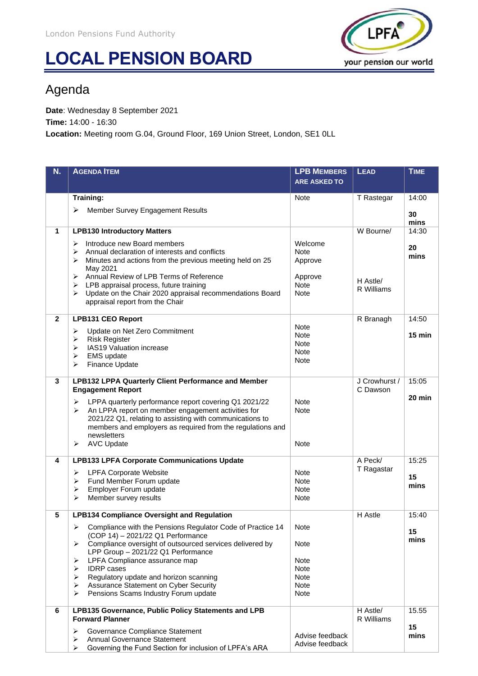## **LOCAL PENSION BOARD**



## Agenda

**Date**: Wednesday 8 September 2021

**Time:** 14:00 - 16:30

**Location:** Meeting room G.04, Ground Floor, 169 Union Street, London, SE1 0LL

| N.           | <b>AGENDA ITEM</b>                                                                                                                                                                                                                                                                                                                                                                                                                        | <b>LPB MEMBERS</b>                                                         | <b>LEAD</b>               | <b>TIME</b>      |
|--------------|-------------------------------------------------------------------------------------------------------------------------------------------------------------------------------------------------------------------------------------------------------------------------------------------------------------------------------------------------------------------------------------------------------------------------------------------|----------------------------------------------------------------------------|---------------------------|------------------|
|              |                                                                                                                                                                                                                                                                                                                                                                                                                                           | <b>ARE ASKED TO</b>                                                        |                           |                  |
|              | Training:                                                                                                                                                                                                                                                                                                                                                                                                                                 | <b>Note</b>                                                                | T Rastegar                | 14:00            |
|              | Member Survey Engagement Results<br>➤                                                                                                                                                                                                                                                                                                                                                                                                     |                                                                            |                           | 30<br>mins       |
| 1            | <b>LPB130 Introductory Matters</b>                                                                                                                                                                                                                                                                                                                                                                                                        |                                                                            | W Bourne/                 | 14:30            |
|              | Introduce new Board members<br>➤<br>Annual declaration of interests and conflicts<br>➤<br>Minutes and actions from the previous meeting held on 25<br>$\blacktriangleright$<br>May 2021<br>Annual Review of LPB Terms of Reference<br>➤<br>LPB appraisal process, future training<br>➤<br>Update on the Chair 2020 appraisal recommendations Board<br>➤<br>appraisal report from the Chair                                                | Welcome<br><b>Note</b><br>Approve<br>Approve<br><b>Note</b><br><b>Note</b> | H Astle/<br>R Williams    | 20<br>mins       |
| $\mathbf{2}$ | <b>LPB131 CEO Report</b>                                                                                                                                                                                                                                                                                                                                                                                                                  |                                                                            | R Branagh                 | 14:50            |
|              | Update on Net Zero Commitment<br>$\blacktriangleright$<br><b>Risk Register</b><br>$\blacktriangleright$<br>IAS19 Valuation increase<br>$\blacktriangleright$<br><b>EMS</b> update<br>➤<br>➤<br>Finance Update                                                                                                                                                                                                                             | <b>Note</b><br><b>Note</b><br><b>Note</b><br><b>Note</b><br><b>Note</b>    |                           | $15 \text{ min}$ |
| 3            | <b>LPB132 LPPA Quarterly Client Performance and Member</b><br><b>Engagement Report</b>                                                                                                                                                                                                                                                                                                                                                    |                                                                            | J Crowhurst /<br>C Dawson | 15:05            |
|              | LPPA quarterly performance report covering Q1 2021/22<br>$\blacktriangleright$<br>An LPPA report on member engagement activities for<br>$\blacktriangleright$<br>2021/22 Q1, relating to assisting with communications to<br>members and employers as required from the regulations and<br>newsletters<br><b>AVC Update</b><br>➤                                                                                                          | <b>Note</b><br><b>Note</b><br><b>Note</b>                                  |                           | $20 \text{ min}$ |
| 4            | <b>LPB133 LPFA Corporate Communications Update</b>                                                                                                                                                                                                                                                                                                                                                                                        |                                                                            | A Peck/                   | 15:25            |
|              | <b>LPFA Corporate Website</b><br>$\blacktriangleright$<br>Fund Member Forum update<br>⋗<br>Employer Forum update<br>$\blacktriangleright$<br>Member survey results<br>$\blacktriangleright$                                                                                                                                                                                                                                               | <b>Note</b><br><b>Note</b><br><b>Note</b><br><b>Note</b>                   | T Ragastar                | 15<br>mins       |
| 5            | <b>LPB134 Compliance Oversight and Regulation</b>                                                                                                                                                                                                                                                                                                                                                                                         |                                                                            | H Astle                   | 15:40            |
|              | Compliance with the Pensions Regulator Code of Practice 14<br>➤<br>(COP 14) - 2021/22 Q1 Performance<br>Compliance oversight of outsourced services delivered by<br>➤<br>LPP Group - 2021/22 Q1 Performance<br>LPFA Compliance assurance map<br>➤<br><b>IDRP</b> cases<br>$\blacktriangleright$<br>Regulatory update and horizon scanning<br>➤<br>Assurance Statement on Cyber Security<br>➤<br>Pensions Scams Industry Forum update<br>➤ | Note<br>Note<br>Note<br><b>Note</b><br><b>Note</b><br>Note<br>Note         |                           | 15<br>mins       |
| 6            | LPB135 Governance, Public Policy Statements and LPB<br><b>Forward Planner</b>                                                                                                                                                                                                                                                                                                                                                             |                                                                            | H Astle/<br>R Williams    | 15.55            |
|              | Governance Compliance Statement<br>➤<br>Annual Governance Statement<br>➤<br>Governing the Fund Section for inclusion of LPFA's ARA<br>➤                                                                                                                                                                                                                                                                                                   | Advise feedback<br>Advise feedback                                         |                           | 15<br>mins       |